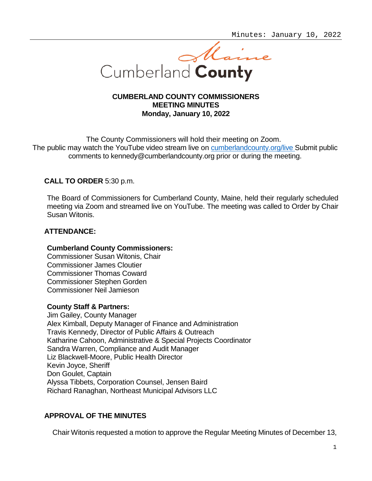

## **CUMBERLAND COUNTY COMMISSIONERS MEETING MINUTES Monday, January 10, 2022**

The County Commissioners will hold their meeting on Zoom. The public may watch the YouTube video stream live on [cumberlandcounty.org/live](https://www.youtube.com/channel/UCLcd1ZD1qObRGMBFFf_o8Cw) Submit public comments to [kennedy@cumberlandcounty.org](mailto:kennedy@cumberlandcounty.org) prior or during the meeting.

# **CALL TO ORDER** 5:30 p.m.

The Board of Commissioners for Cumberland County, Maine, held their regularly scheduled meeting via Zoom and streamed live on YouTube. The meeting was called to Order by Chair Susan Witonis.

# **ATTENDANCE:**

## **Cumberland County Commissioners:**

Commissioner Susan Witonis, Chair Commissioner James Cloutier Commissioner Thomas Coward Commissioner Stephen Gorden Commissioner Neil Jamieson

## **County Staff & Partners:**

Jim Gailey, County Manager Alex Kimball, Deputy Manager of Finance and Administration Travis Kennedy, Director of Public Affairs & Outreach Katharine Cahoon, Administrative & Special Projects Coordinator Sandra Warren, Compliance and Audit Manager Liz Blackwell-Moore, Public Health Director Kevin Joyce, Sheriff Don Goulet, Captain Alyssa Tibbets, Corporation Counsel, Jensen Baird Richard Ranaghan, Northeast Municipal Advisors LLC

# **APPROVAL OF THE MINUTES**

Chair Witonis requested a motion to approve the Regular Meeting Minutes of December 13,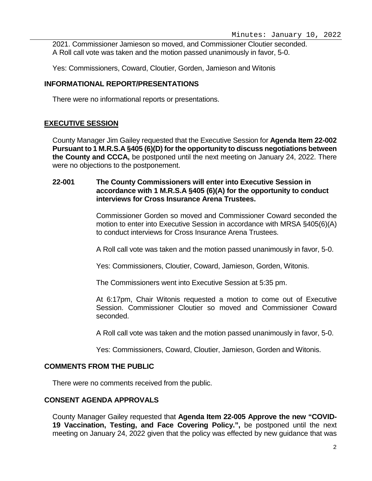2021. Commissioner Jamieson so moved, and Commissioner Cloutier seconded. A Roll call vote was taken and the motion passed unanimously in favor, 5-0.

Yes: Commissioners, Coward, Cloutier, Gorden, Jamieson and Witonis

## **INFORMATIONAL REPORT/PRESENTATIONS**

There were no informational reports or presentations.

## **EXECUTIVE SESSION**

County Manager Jim Gailey requested that the Executive Session for **Agenda Item 22-002 Pursuant to 1 M.R.S.A §405 (6)(D) for the opportunity to discuss negotiations between the County and CCCA,** be postponed until the next meeting on January 24, 2022. There were no objections to the postponement.

## **22-001 The County Commissioners will enter into Executive Session in accordance with 1 M.R.S.A §405 (6)(A) for the opportunity to conduct interviews for Cross Insurance Arena Trustees.**

Commissioner Gorden so moved and Commissioner Coward seconded the motion to enter into Executive Session in accordance with MRSA §405(6)(A) to conduct interviews for Cross Insurance Arena Trustees.

A Roll call vote was taken and the motion passed unanimously in favor, 5-0.

Yes: Commissioners, Cloutier, Coward, Jamieson, Gorden, Witonis.

The Commissioners went into Executive Session at 5:35 pm.

At 6:17pm, Chair Witonis requested a motion to come out of Executive Session. Commissioner Cloutier so moved and Commissioner Coward seconded.

A Roll call vote was taken and the motion passed unanimously in favor, 5-0.

Yes: Commissioners, Coward, Cloutier, Jamieson, Gorden and Witonis.

## **COMMENTS FROM THE PUBLIC**

There were no comments received from the public.

## **CONSENT AGENDA APPROVALS**

County Manager Gailey requested that **Agenda Item 22-005 Approve the new "COVID-19 Vaccination, Testing, and Face Covering Policy.",** be postponed until the next meeting on January 24, 2022 given that the policy was effected by new guidance that was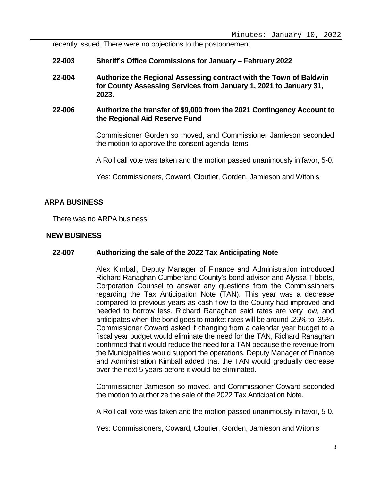recently issued. There were no objections to the postponement.

- **22-003 Sheriff's Office Commissions for January – February 2022**
- **22-004 Authorize the Regional Assessing contract with the Town of Baldwin for County Assessing Services from January 1, 2021 to January 31, 2023.**
- **22-006 Authorize the transfer of \$9,000 from the 2021 Contingency Account to the Regional Aid Reserve Fund**

Commissioner Gorden so moved, and Commissioner Jamieson seconded the motion to approve the consent agenda items.

A Roll call vote was taken and the motion passed unanimously in favor, 5-0.

Yes: Commissioners, Coward, Cloutier, Gorden, Jamieson and Witonis

### **ARPA BUSINESS**

There was no ARPA business.

#### **NEW BUSINESS**

#### **22-007 Authorizing the sale of the 2022 Tax Anticipating Note**

Alex Kimball, Deputy Manager of Finance and Administration introduced Richard Ranaghan Cumberland County's bond advisor and Alyssa Tibbets, Corporation Counsel to answer any questions from the Commissioners regarding the Tax Anticipation Note (TAN). This year was a decrease compared to previous years as cash flow to the County had improved and needed to borrow less. Richard Ranaghan said rates are very low, and anticipates when the bond goes to market rates will be around .25% to .35%. Commissioner Coward asked if changing from a calendar year budget to a fiscal year budget would eliminate the need for the TAN, Richard Ranaghan confirmed that it would reduce the need for a TAN because the revenue from the Municipalities would support the operations. Deputy Manager of Finance and Administration Kimball added that the TAN would gradually decrease over the next 5 years before it would be eliminated.

Commissioner Jamieson so moved, and Commissioner Coward seconded the motion to authorize the sale of the 2022 Tax Anticipation Note.

A Roll call vote was taken and the motion passed unanimously in favor, 5-0.

Yes: Commissioners, Coward, Cloutier, Gorden, Jamieson and Witonis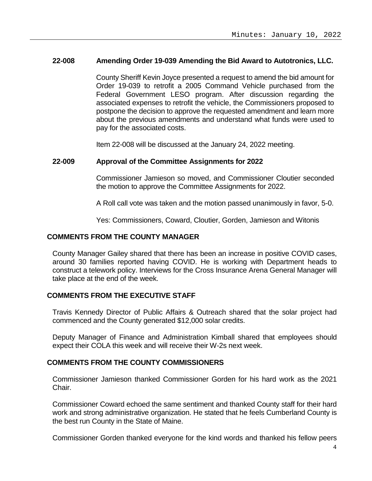### **22-008 Amending Order 19-039 Amending the Bid Award to Autotronics, LLC.**

County Sheriff Kevin Joyce presented a request to amend the bid amount for Order 19-039 to retrofit a 2005 Command Vehicle purchased from the Federal Government LESO program. After discussion regarding the associated expenses to retrofit the vehicle, the Commissioners proposed to postpone the decision to approve the requested amendment and learn more about the previous amendments and understand what funds were used to pay for the associated costs.

Item 22-008 will be discussed at the January 24, 2022 meeting.

#### **22-009 Approval of the Committee Assignments for 2022**

Commissioner Jamieson so moved, and Commissioner Cloutier seconded the motion to approve the Committee Assignments for 2022.

A Roll call vote was taken and the motion passed unanimously in favor, 5-0.

Yes: Commissioners, Coward, Cloutier, Gorden, Jamieson and Witonis

## **COMMENTS FROM THE COUNTY MANAGER**

County Manager Gailey shared that there has been an increase in positive COVID cases, around 30 families reported having COVID. He is working with Department heads to construct a telework policy. Interviews for the Cross Insurance Arena General Manager will take place at the end of the week.

### **COMMENTS FROM THE EXECUTIVE STAFF**

Travis Kennedy Director of Public Affairs & Outreach shared that the solar project had commenced and the County generated \$12,000 solar credits.

Deputy Manager of Finance and Administration Kimball shared that employees should expect their COLA this week and will receive their W-2s next week.

#### **COMMENTS FROM THE COUNTY COMMISSIONERS**

Commissioner Jamieson thanked Commissioner Gorden for his hard work as the 2021 Chair.

Commissioner Coward echoed the same sentiment and thanked County staff for their hard work and strong administrative organization. He stated that he feels Cumberland County is the best run County in the State of Maine.

Commissioner Gorden thanked everyone for the kind words and thanked his fellow peers